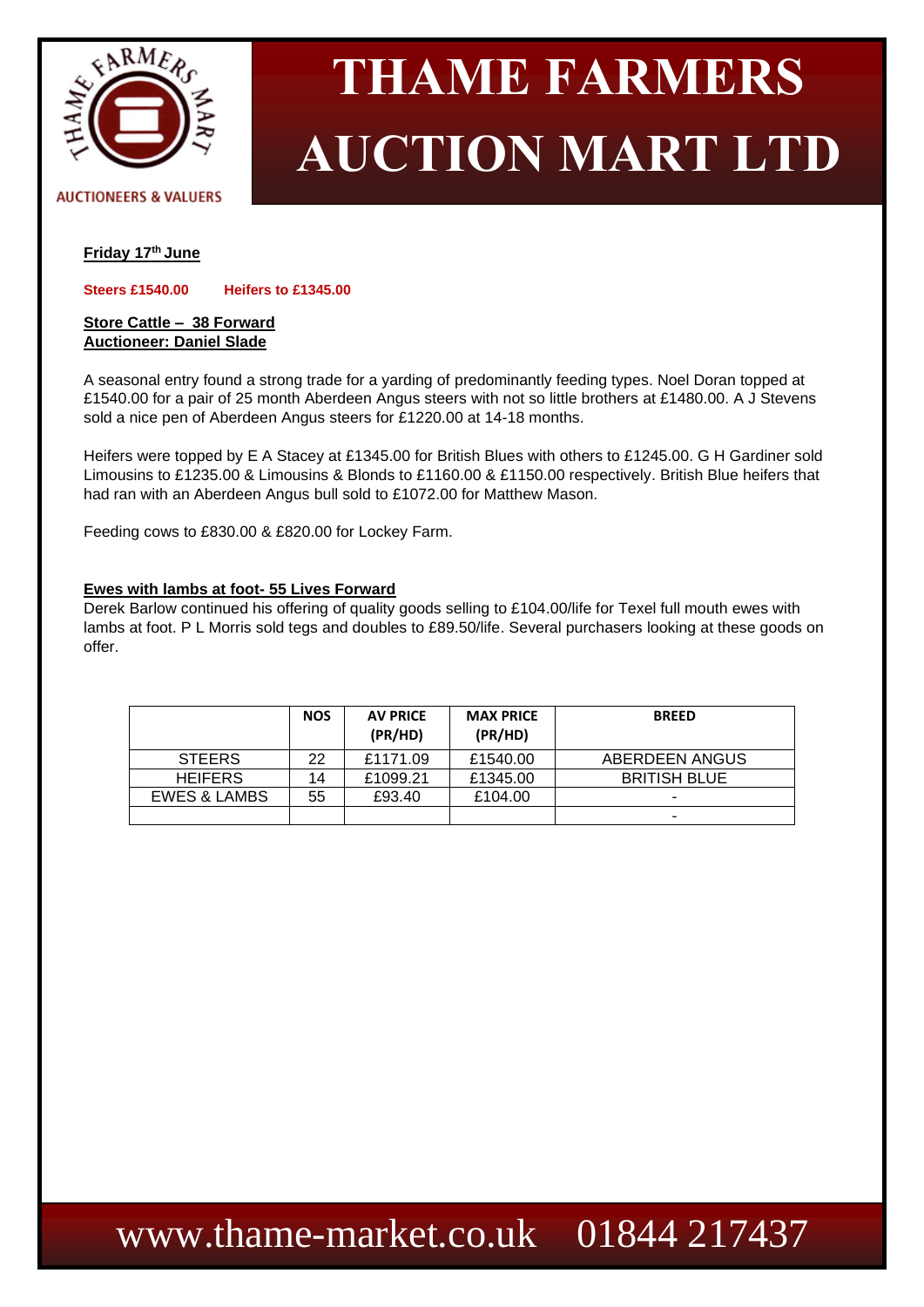

# **THAME FARMERS AUCTION MART LTD**

#### **AUCTIONEERS & VALUERS**

# **Friday 17 th June**

**Steers £1540.00 Heifers to £1345.00**

### **Store Cattle – 38 Forward Auctioneer: Daniel Slade**

A seasonal entry found a strong trade for a yarding of predominantly feeding types. Noel Doran topped at £1540.00 for a pair of 25 month Aberdeen Angus steers with not so little brothers at £1480.00. A J Stevens sold a nice pen of Aberdeen Angus steers for £1220.00 at 14-18 months.

Heifers were topped by E A Stacey at £1345.00 for British Blues with others to £1245.00. G H Gardiner sold Limousins to £1235.00 & Limousins & Blonds to £1160.00 & £1150.00 respectively. British Blue heifers that had ran with an Aberdeen Angus bull sold to £1072.00 for Matthew Mason.

Feeding cows to £830.00 & £820.00 for Lockey Farm.

#### **Ewes with lambs at foot- 55 Lives Forward**

Derek Barlow continued his offering of quality goods selling to £104.00/life for Texel full mouth ewes with lambs at foot. P L Morris sold tegs and doubles to £89.50/life. Several purchasers looking at these goods on offer.

|                         | <b>NOS</b> | <b>AV PRICE</b><br>(PR/HD) | <b>MAX PRICE</b><br>(PR/HD) | <b>BREED</b>        |
|-------------------------|------------|----------------------------|-----------------------------|---------------------|
| <b>STEERS</b>           | 22         | £1171.09                   | £1540.00                    | ABERDEEN ANGUS      |
| <b>HEIFERS</b>          | 14         | £1099.21                   | £1345.00                    | <b>BRITISH BLUE</b> |
| <b>EWES &amp; LAMBS</b> | 55         | £93.40                     | £104.00                     | -                   |
|                         |            |                            |                             |                     |

# [www.thame-market.co.uk](http://www.thame-market.co.uk/) 01844 217437